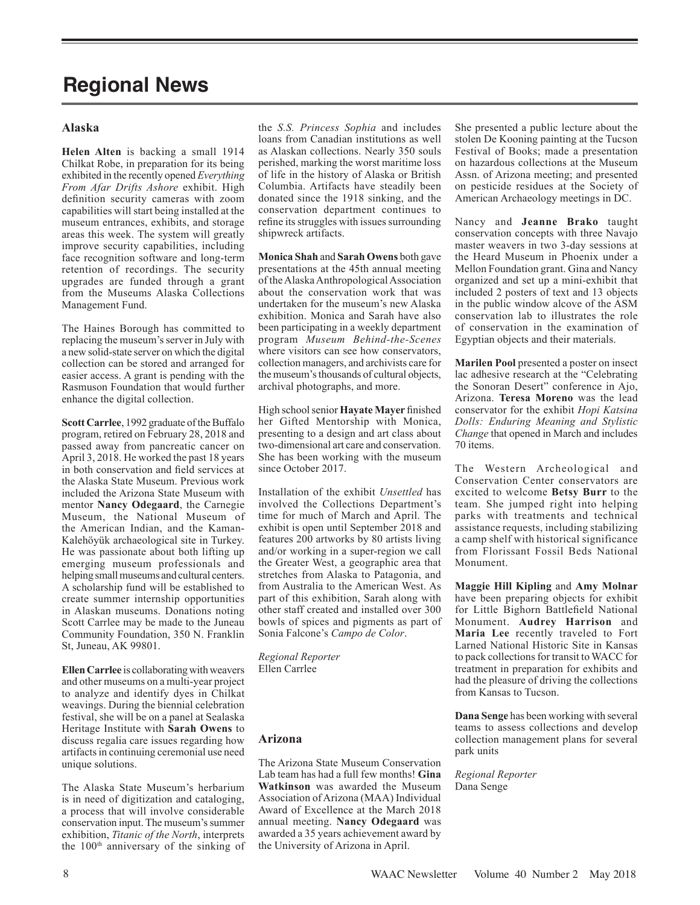# **Regional News**

#### **Alaska**

**Helen Alten** is backing a small 1914 Chilkat Robe, in preparation for its being exhibited in the recently opened *Everything From Afar Drifts Ashore* exhibit. High definition security cameras with zoom capabilities will start being installed at the museum entrances, exhibits, and storage areas this week. The system will greatly improve security capabilities, including face recognition software and long-term retention of recordings. The security upgrades are funded through a grant from the Museums Alaska Collections Management Fund.

The Haines Borough has committed to replacing the museum's server in July with a new solid-state server on which the digital collection can be stored and arranged for easier access. A grant is pending with the Rasmuson Foundation that would further enhance the digital collection.

**Scott Carrlee**, 1992 graduate of the Buffalo program, retired on February 28, 2018 and passed away from pancreatic cancer on April 3, 2018. He worked the past 18 years in both conservation and field services at the Alaska State Museum. Previous work included the Arizona State Museum with mentor **Nancy Odegaard**, the Carnegie Museum, the National Museum of the American Indian, and the Kaman-Kalehöyük archaeological site in Turkey. He was passionate about both lifting up emerging museum professionals and helping small museums and cultural centers. A scholarship fund will be established to create summer internship opportunities in Alaskan museums. Donations noting Scott Carrlee may be made to the Juneau Community Foundation, 350 N. Franklin St, Juneau, AK 99801.

**Ellen Carrlee** is collaborating with weavers and other museums on a multi-year project to analyze and identify dyes in Chilkat weavings. During the biennial celebration festival, she will be on a panel at Sealaska Heritage Institute with **Sarah Owens** to discuss regalia care issues regarding how artifacts in continuing ceremonial use need unique solutions.

The Alaska State Museum's herbarium is in need of digitization and cataloging, a process that will involve considerable conservation input. The museum's summer exhibition, *Titanic of the North*, interprets the 100<sup>th</sup> anniversary of the sinking of

the *S.S. Princess Sophia* and includes loans from Canadian institutions as well as Alaskan collections. Nearly 350 souls perished, marking the worst maritime loss of life in the history of Alaska or British Columbia. Artifacts have steadily been donated since the 1918 sinking, and the conservation department continues to refine its struggles with issues surrounding shipwreck artifacts.

**Monica Shah** and **Sarah Owens** both gave presentations at the 45th annual meeting of the Alaska Anthropological Association about the conservation work that was undertaken for the museum's new Alaska exhibition. Monica and Sarah have also been participating in a weekly department program *Museum Behind-the-Scenes* where visitors can see how conservators, collection managers, and archivists care for the museum's thousands of cultural objects, archival photographs, and more.

High school senior **Hayate Mayer** finished her Gifted Mentorship with Monica, presenting to a design and art class about two-dimensional art care and conservation. She has been working with the museum since October 2017.

Installation of the exhibit *Unsettled* has involved the Collections Department's time for much of March and April. The exhibit is open until September 2018 and features 200 artworks by 80 artists living and/or working in a super-region we call the Greater West, a geographic area that stretches from Alaska to Patagonia, and from Australia to the American West. As part of this exhibition, Sarah along with other staff created and installed over 300 bowls of spices and pigments as part of Sonia Falcone's *Campo de Color*.

*Regional Reporter* Ellen Carrlee

#### **Arizona**

The Arizona State Museum Conservation Lab team has had a full few months! **Gina Watkinson** was awarded the Museum Association of Arizona (MAA) Individual Award of Excellence at the March 2018 annual meeting. **Nancy Odegaard** was awarded a 35 years achievement award by the University of Arizona in April.

She presented a public lecture about the stolen De Kooning painting at the Tucson Festival of Books; made a presentation on hazardous collections at the Museum Assn. of Arizona meeting; and presented on pesticide residues at the Society of American Archaeology meetings in DC.

Nancy and **Jeanne Brako** taught conservation concepts with three Navajo master weavers in two 3-day sessions at the Heard Museum in Phoenix under a Mellon Foundation grant. Gina and Nancy organized and set up a mini-exhibit that included 2 posters of text and 13 objects in the public window alcove of the ASM conservation lab to illustrates the role of conservation in the examination of Egyptian objects and their materials.

**Marilen Pool** presented a poster on insect lac adhesive research at the "Celebrating the Sonoran Desert" conference in Ajo, Arizona. **Teresa Moreno** was the lead conservator for the exhibit *Hopi Katsina Dolls: Enduring Meaning and Stylistic Change* that opened in March and includes 70 items.

The Western Archeological and Conservation Center conservators are excited to welcome **Betsy Burr** to the team. She jumped right into helping parks with treatments and technical assistance requests, including stabilizing a camp shelf with historical significance from Florissant Fossil Beds National Monument.

**Maggie Hill Kipling** and **Amy Molnar** have been preparing objects for exhibit for Little Bighorn Battlefield National Monument. **Audrey Harrison** and **Maria Lee** recently traveled to Fort Larned National Historic Site in Kansas to pack collections for transit to WACC for treatment in preparation for exhibits and had the pleasure of driving the collections from Kansas to Tucson.

**Dana Senge** has been working with several teams to assess collections and develop collection management plans for several park units

*Regional Reporter* Dana Senge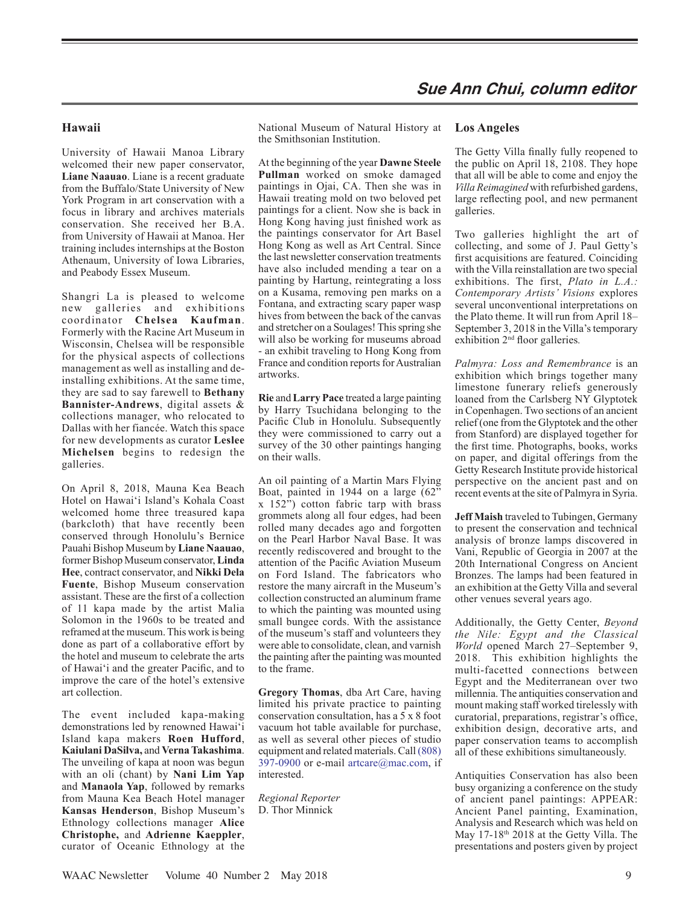## **Hawaii**

University of Hawaii Manoa Library welcomed their new paper conservator, **Liane Naauao**. Liane is a recent graduate from the Buffalo/State University of New York Program in art conservation with a focus in library and archives materials conservation. She received her B.A. from University of Hawaii at Manoa. Her training includes internships at the Boston Athenaum, University of Iowa Libraries, and Peabody Essex Museum.

Shangri La is pleased to welcome new galleries and exhibitions coordinator **Chelsea Kaufman**. Formerly with the Racine Art Museum in Wisconsin, Chelsea will be responsible for the physical aspects of collections management as well as installing and deinstalling exhibitions. At the same time, they are sad to say farewell to **Bethany Bannister-Andrews**, digital assets & collections manager, who relocated to Dallas with her fiancée. Watch this space for new developments as curator **Leslee Michelsen** begins to redesign the galleries.

On April 8, 2018, Mauna Kea Beach Hotel on Hawaiʻi Island's Kohala Coast welcomed home three treasured kapa (barkcloth) that have recently been conserved through Honolulu's Bernice Pauahi Bishop Museum by **Liane Naauao**, former Bishop Museum conservator,**Linda Hee**, contract conservator, and **Nikki Dela Fuente**, Bishop Museum conservation assistant. These are the first of a collection of 11 kapa made by the artist Malia Solomon in the 1960s to be treated and reframed at the museum. This work is being done as part of a collaborative effort by the hotel and museum to celebrate the arts of Hawai'i and the greater Pacific, and to improve the care of the hotel's extensive art collection.

The event included kapa-making demonstrations led by renowned Hawaiʻi Island kapa makers **Roen Hufford**, **Kaiulani DaSilva,** and **Verna Takashima**. The unveiling of kapa at noon was begun with an oli (chant) by **Nani Lim Yap** and **Manaola Yap**, followed by remarks from Mauna Kea Beach Hotel manager **Kansas Henderson**, Bishop Museum's Ethnology collections manager **Alice Christophe,** and **Adrienne Kaeppler**, curator of Oceanic Ethnology at the

National Museum of Natural History at the Smithsonian Institution.

At the beginning of the year **Dawne Steele Pullman** worked on smoke damaged paintings in Ojai, CA. Then she was in Hawaii treating mold on two beloved pet paintings for a client. Now she is back in Hong Kong having just finished work as the paintings conservator for Art Basel Hong Kong as well as Art Central. Since the last newsletter conservation treatments have also included mending a tear on a painting by Hartung, reintegrating a loss on a Kusama, removing pen marks on a Fontana, and extracting scary paper wasp hives from between the back of the canvas and stretcher on a Soulages!This spring she will also be working for museums abroad - an exhibit traveling to Hong Kong from France and condition reports for Australian artworks.

**Rie** and**Larry Pace** treated a large painting by Harry Tsuchidana belonging to the Pacific Club in Honolulu. Subsequently they were commissioned to carry out a survey of the 30 other paintings hanging on their walls.

An oil painting of a Martin Mars Flying Boat, painted in 1944 on a large (62"  $x$  152<sup> $\ddot{\,}$ </sup>) cotton fabric tarp with brass grommets along all four edges, had been rolled many decades ago and forgotten on the Pearl Harbor Naval Base. It was recently rediscovered and brought to the attention of the Pacific Aviation Museum on Ford Island. The fabricators who restore the many aircraft in the Museum's collection constructed an aluminum frame to which the painting was mounted using small bungee cords. With the assistance of the museum's staff and volunteers they were able to consolidate, clean, and varnish the painting after the painting was mounted to the frame.

**Gregory Thomas**, dba Art Care, having limited his private practice to painting conservation consultation, has a 5 x 8 foot vacuum hot table available for purchase, as well as several other pieces of studio equipment and related materials. Call(808) 397-0900 or e-mail artcare@mac.com, if interested.

*Regional Reporter* D. Thor Minnick

#### **Los Angeles**

The Getty Villa finally fully reopened to the public on April 18, 2108. They hope that all will be able to come and enjoy the *Villa Reimagined* with refurbished gardens, large reflecting pool, and new permanent galleries.

Two galleries highlight the art of collecting, and some of J. Paul Getty's first acquisitions are featured. Coinciding with the Villa reinstallation are two special exhibitions. The first, *Plato in L.A.: Contemporary Artists' Visions* explores several unconventional interpretations on the Plato theme. It will run from April 18– September 3, 2018 in the Villa's temporary exhibition 2nd floor galleries*.*

*Palmyra: Loss and Remembrance* is an exhibition which brings together many limestone funerary reliefs generously loaned from the Carlsberg NY Glyptotek in Copenhagen. Two sections of an ancient relief (one from the Glyptotek and the other from Stanford) are displayed together for the first time. Photographs, books, works on paper, and digital offerings from the Getty Research Institute provide historical perspective on the ancient past and on recent events at the site of Palmyra in Syria.

**Jeff Maish** traveled to Tubingen, Germany to present the conservation and technical analysis of bronze lamps discovered in Vani, Republic of Georgia in 2007 at the 20th International Congress on Ancient Bronzes. The lamps had been featured in an exhibition at the Getty Villa and several other venues several years ago.

Additionally, the Getty Center, *Beyond the Nile: Egypt and the Classical World* opened March 27–September 9, 2018. This exhibition highlights the multi-facetted connections between Egypt and the Mediterranean over two millennia. The antiquities conservation and mount making staff worked tirelessly with curatorial, preparations, registrar's office, exhibition design, decorative arts, and paper conservation teams to accomplish all of these exhibitions simultaneously.

Antiquities Conservation has also been busy organizing a conference on the study of ancient panel paintings: APPEAR: Ancient Panel painting, Examination, Analysis and Research which was held on May 17-18<sup>th</sup> 2018 at the Getty Villa. The presentations and posters given by project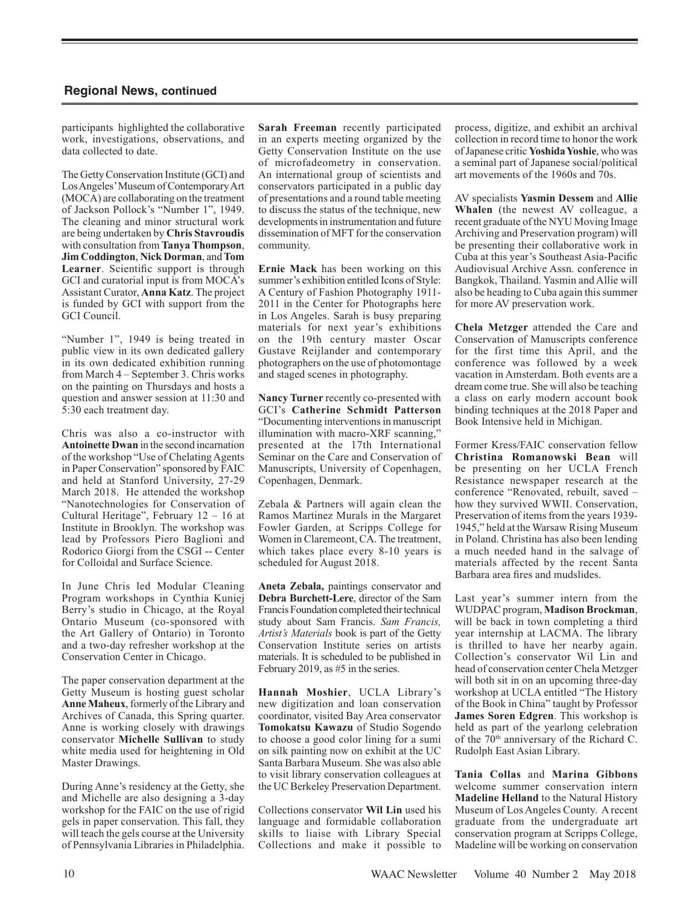participants highlighted the collaborative work, investigations, observations, and data collected to date.

The Getty Conservation Institute (GCI) and Los Angeles' Museum of Contemporary Art (MOCA) are collaborating on the treatment of Jackson Pollock's "Number 1", 1949. The cleaning and minor structural work are being undertaken by **Chris Stavroudis**  with consultation from **Tanya Thompson**, **Jim Coddington**, **Nick Dorman**, and **Tom Learner**. Scientific support is through GCI and curatorial input is from MOCA's Assistant Curator, **Anna Katz**. The project is funded by GCI with support from the GCI Council.

"Number 1", 1949 is being treated in public view in its own dedicated gallery in its own dedicated exhibition running from March 4 – September 3. Chris works on the painting on Thursdays and hosts a question and answer session at 11:30 and 5:30 each treatment day.

Chris was also a co-instructor with **Antoinette Dwan** in the second incarnation of the workshop "Use of Chelating Agents in Paper Conservation" sponsored by FAIC and held at Stanford University, 27-29 March 2018. He attended the workshop "Nanotechnologies for Conservation of Cultural Heritage", February 12 – 16 at Institute in Brooklyn. The workshop was lead by Professors Piero Baglioni and Rodorico Giorgi from the CSGI -- Center for Colloidal and Surface Science.

In June Chris led Modular Cleaning Program workshops in Cynthia Kuniej Berry's studio in Chicago, at the Royal Ontario Museum (co-sponsored with the Art Gallery of Ontario) in Toronto and a two-day refresher workshop at the Conservation Center in Chicago.

The paper conservation department at the Getty Museum is hosting guest scholar **Anne Maheux**, formerly of the Library and Archives of Canada, this Spring quarter. Anne is working closely with drawings conservator **Michelle Sullivan** to study white media used for heightening in Old Master Drawings.

During Anne's residency at the Getty, she and Michelle are also designing a 3-day workshop for the FAIC on the use of rigid gels in paper conservation. This fall, they will teach the gels course at the University of Pennsylvania Libraries in Philadelphia.

**Sarah Freeman** recently participated in an experts meeting organized by the Getty Conservation Institute on the use of microfadeometry in conservation. An international group of scientists and conservators participated in a public day of presentations and a round table meeting to discuss the status of the technique, new developments in instrumentation and future dissemination of MFT for the conservation community.

**Ernie Mack** has been working on this summer's exhibition entitled Icons of Style: A Century of Fashion Photography 1911- 2011 in the Center for Photographs here in Los Angeles. Sarah is busy preparing materials for next year's exhibitions on the 19th century master Oscar Gustave Reijlander and contemporary photographers on the use of photomontage and staged scenes in photography.

**Nancy Turner** recently co-presented with GCI's **Catherine Schmidt Patterson** "Documenting interventions in manuscript illumination with macro-XRF scanning,' presented at the 17th International Seminar on the Care and Conservation of Manuscripts, University of Copenhagen, Copenhagen, Denmark.

Zebala & Partners will again clean the Ramos Martinez Murals in the Margaret Fowler Garden, at Scripps College for Women in Claremeont, CA. The treatment, which takes place every 8-10 years is scheduled for August 2018.

**Aneta Zebala,** paintings conservator and **Debra Burchett-Lere**, director of the Sam Francis Foundation completed their technical study about Sam Francis. *Sam Francis, Artist's Materials* book is part of the Getty Conservation Institute series on artists materials. It is scheduled to be published in February 2019, as #5 in the series.

**Hannah Moshier**, UCLA Library's new digitization and loan conservation coordinator, visited Bay Area conservator **Tomokatsu Kawazu** of Studio Sogendo to choose a good color lining for a sumi on silk painting now on exhibit at the UC Santa Barbara Museum. She was also able to visit library conservation colleagues at the UC Berkeley Preservation Department.

Collections conservator **Wil Lin** used his language and formidable collaboration skills to liaise with Library Special Collections and make it possible to process, digitize, and exhibit an archival collection in record time to honor the work of Japanese critic **Yoshida Yoshie**, who was a seminal part of Japanese social/political art movements of the 1960s and 70s.

AV specialists **Yasmin Dessem** and **Allie Whalen** (the newest AV colleague, a recent graduate of the NYU Moving Image Archiving and Preservation program) will be presenting their collaborative work in Cuba at this year's Southeast Asia-Pacific Audiovisual Archive Assn. conference in Bangkok, Thailand. Yasmin and Allie will also be heading to Cuba again this summer for more AV preservation work.

**Chela Metzger** attended the Care and Conservation of Manuscripts conference for the first time this April, and the conference was followed by a week vacation in Amsterdam. Both events are a dream come true. She will also be teaching a class on early modern account book binding techniques at the 2018 Paper and Book Intensive held in Michigan.

Former Kress/FAIC conservation fellow **Christina Romanowski Bean** will be presenting on her UCLA French Resistance newspaper research at the conference "Renovated, rebuilt, saved – how they survived WWII. Conservation, Preservation of items from the years 1939- 1945," held at the Warsaw Rising Museum in Poland. Christina has also been lending a much needed hand in the salvage of materials affected by the recent Santa Barbara area fires and mudslides.

Last year's summer intern from the WUDPAC program, **Madison Brockman**, will be back in town completing a third year internship at LACMA. The library is thrilled to have her nearby again. Collection's conservator Wil Lin and head of conservation center Chela Metzger will both sit in on an upcoming three-day workshop at UCLA entitled "The History of the Book in China" taught by Professor **James Soren Edgren**. This workshop is held as part of the yearlong celebration of the 70th anniversary of the Richard C. Rudolph East Asian Library.

**Tania Collas** and **Marina Gibbons** welcome summer conservation intern **Madeline Helland** to the Natural History Museum of Los Angeles County. A recent graduate from the undergraduate art conservation program at Scripps College, Madeline will be working on conservation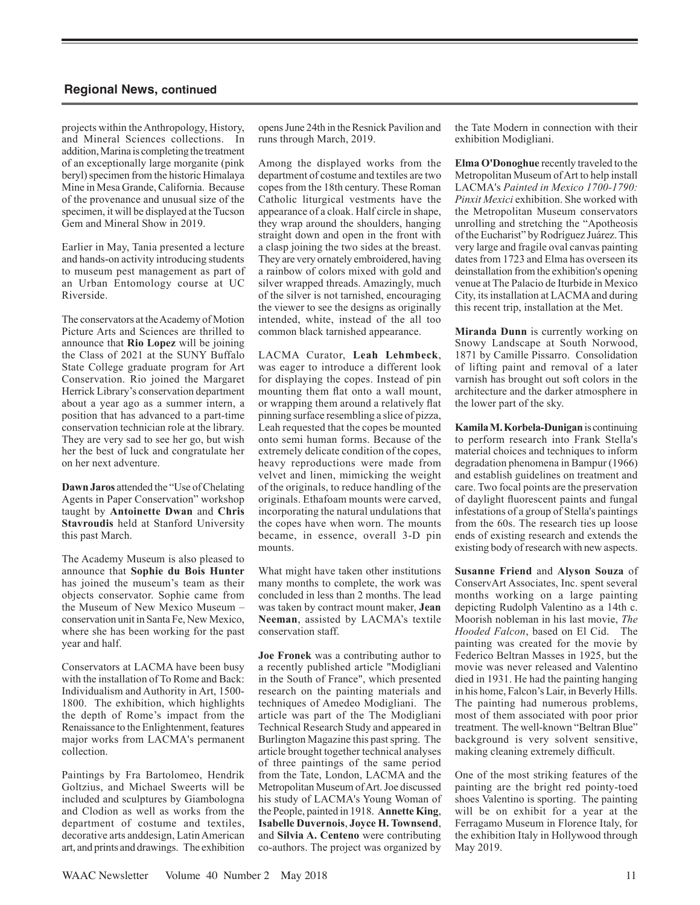projects within the Anthropology, History, and Mineral Sciences collections. In addition, Marina is completing the treatment of an exceptionally large morganite (pink beryl) specimen from the historic Himalaya Mine in Mesa Grande, California. Because of the provenance and unusual size of the specimen, it will be displayed at the Tucson Gem and Mineral Show in 2019.

Earlier in May, Tania presented a lecture and hands-on activity introducing students to museum pest management as part of an Urban Entomology course at UC Riverside.

The conservators at the Academy of Motion Picture Arts and Sciences are thrilled to announce that **Rio Lopez** will be joining the Class of 2021 at the SUNY Buffalo State College graduate program for Art Conservation. Rio joined the Margaret Herrick Library's conservation department about a year ago as a summer intern, a position that has advanced to a part-time conservation technician role at the library. They are very sad to see her go, but wish her the best of luck and congratulate her on her next adventure.

**Dawn Jaros** attended the "Use of Chelating Agents in Paper Conservation" workshop taught by **Antoinette Dwan** and **Chris Stavroudis** held at Stanford University this past March.

The Academy Museum is also pleased to announce that **Sophie du Bois Hunter** has joined the museum's team as their objects conservator. Sophie came from the Museum of New Mexico Museum – conservation unit in Santa Fe, New Mexico, where she has been working for the past year and half.

Conservators at LACMA have been busy with the installation of To Rome and Back: Individualism and Authority in Art, 1500- 1800. The exhibition, which highlights the depth of Rome's impact from the Renaissance to the Enlightenment, features major works from LACMA's permanent collection.

Paintings by Fra Bartolomeo, Hendrik Goltzius, and Michael Sweerts will be included and sculptures by Giambologna and Clodion as well as works from the department of costume and textiles, decorative arts anddesign, Latin American art, and prints and drawings. The exhibition

opens June 24th in the Resnick Pavilion and runs through March, 2019.

Among the displayed works from the department of costume and textiles are two copes from the 18th century. These Roman Catholic liturgical vestments have the appearance of a cloak. Half circle in shape, they wrap around the shoulders, hanging straight down and open in the front with a clasp joining the two sides at the breast. They are very ornately embroidered, having a rainbow of colors mixed with gold and silver wrapped threads. Amazingly, much of the silver is not tarnished, encouraging the viewer to see the designs as originally intended, white, instead of the all too common black tarnished appearance.

LACMA Curator, **Leah Lehmbeck**, was eager to introduce a different look for displaying the copes. Instead of pin mounting them flat onto a wall mount, or wrapping them around a relatively flat pinning surface resembling a slice of pizza, Leah requested that the copes be mounted onto semi human forms. Because of the extremely delicate condition of the copes, heavy reproductions were made from velvet and linen, mimicking the weight of the originals, to reduce handling of the originals. Ethafoam mounts were carved, incorporating the natural undulations that the copes have when worn. The mounts became, in essence, overall 3-D pin mounts.

What might have taken other institutions many months to complete, the work was concluded in less than 2 months. The lead was taken by contract mount maker, **Jean Neeman**, assisted by LACMA's textile conservation staff.

**Joe Fronek** was a contributing author to a recently published article "Modigliani in the South of France", which presented research on the painting materials and techniques of Amedeo Modigliani. The article was part of the The Modigliani Technical Research Study and appeared in Burlington Magazine this past spring. The article brought together technical analyses of three paintings of the same period from the Tate, London, LACMA and the Metropolitan Museum of Art. Joe discussed his study of LACMA's Young Woman of the People, painted in 1918. **Annette King**, **Isabelle Duvernois**, **Joyce H. Townsend**, and **Silvia A. Centeno** were contributing co-authors. The project was organized by the Tate Modern in connection with their exhibition Modigliani.

**Elma O'Donoghue** recently traveled to the Metropolitan Museum of Art to help install LACMA's *Painted in Mexico 1700-1790: Pinxit Mexici* exhibition. She worked with the Metropolitan Museum conservators unrolling and stretching the "Apotheosis of the Eucharist" by Rodríguez Juárez. This very large and fragile oval canvas painting dates from 1723 and Elma has overseen its deinstallation from the exhibition's opening venue at The Palacio de Iturbide in Mexico City, its installation at LACMA and during this recent trip, installation at the Met.

**Miranda Dunn** is currently working on Snowy Landscape at South Norwood, 1871 by Camille Pissarro. Consolidation of lifting paint and removal of a later varnish has brought out soft colors in the architecture and the darker atmosphere in the lower part of the sky.

**Kamila M. Korbela-Dunigan** is continuing to perform research into Frank Stella's material choices and techniques to inform degradation phenomena in Bampur (1966) and establish guidelines on treatment and care. Two focal points are the preservation of daylight fluorescent paints and fungal infestations of a group of Stella's paintings from the 60s. The research ties up loose ends of existing research and extends the existing body of research with new aspects.

**Susanne Friend** and **Alyson Souza** of ConservArt Associates, Inc. spent several months working on a large painting depicting Rudolph Valentino as a 14th c. Moorish nobleman in his last movie, *The Hooded Falcon*, based on El Cid. The painting was created for the movie by Federico Beltran Masses in 1925, but the movie was never released and Valentino died in 1931. He had the painting hanging in his home, Falcon's Lair, in Beverly Hills. The painting had numerous problems, most of them associated with poor prior treatment. The well-known "Beltran Blue" background is very solvent sensitive, making cleaning extremely difficult.

One of the most striking features of the painting are the bright red pointy-toed shoes Valentino is sporting. The painting will be on exhibit for a year at the Ferragamo Museum in Florence Italy, for the exhibition Italy in Hollywood through May 2019.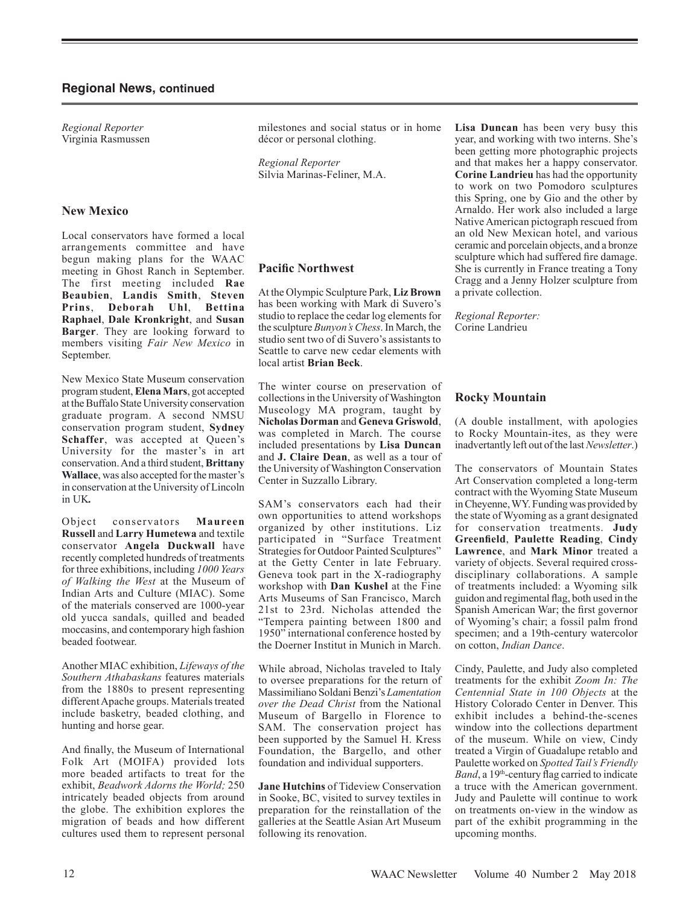*Regional Reporter* Virginia Rasmussen

#### **New Mexico**

Local conservators have formed a local arrangements committee and have begun making plans for the WAAC meeting in Ghost Ranch in September. The first meeting included **Rae Beaubien**, **Landis Smith**, **Steven Prins**, **Deborah Uhl**, **Bettina Raphael**, **Dale Kronkright**, and **Susan Barger**. They are looking forward to members visiting *Fair New Mexico* in September.

New Mexico State Museum conservation program student,**Elena Mars**, got accepted at the Buffalo State University conservation graduate program. A second NMSU conservation program student, **Sydney Schaffer**, was accepted at Queen's University for the master's in art conservation. And a third student, **Brittany Wallace**, was also accepted for the master's in conservation at the University of Lincoln in UK*.* 

Object conservators **Maureen Russell** and **Larry Humetewa** and textile conservator **Angela Duckwall** have recently completed hundreds of treatments for three exhibitions, including *1000 Years of Walking the West* at the Museum of Indian Arts and Culture (MIAC). Some of the materials conserved are 1000-year old yucca sandals, quilled and beaded moccasins, and contemporary high fashion beaded footwear.

Another MIAC exhibition, *Lifeways of the Southern Athabaskans* features materials from the 1880s to present representing different Apache groups. Materials treated include basketry, beaded clothing, and hunting and horse gear.

And finally, the Museum of International Folk Art (MOIFA) provided lots more beaded artifacts to treat for the exhibit, *Beadwork Adorns the World;* 250 intricately beaded objects from around the globe. The exhibition explores the migration of beads and how different cultures used them to represent personal

milestones and social status or in home décor or personal clothing.

*Regional Reporter* Silvia Marinas-Feliner, M.A.

## **Pacific Northwest**

At the Olympic Sculpture Park, **Liz Brown** has been working with Mark di Suvero's studio to replace the cedar log elements for the sculpture *Bunyon's Chess*. In March, the studio sent two of di Suvero's assistants to Seattle to carve new cedar elements with local artist **Brian Beck**.

The winter course on preservation of collections in the University of Washington Museology MA program, taught by **Nicholas Dorman** and **Geneva Griswold**, was completed in March. The course included presentations by **Lisa Duncan** and **J. Claire Dean**, as well as a tour of the University of Washington Conservation Center in Suzzallo Library.

SAM's conservators each had their own opportunities to attend workshops organized by other institutions. Liz participated in "Surface Treatment Strategies for Outdoor Painted Sculptures" at the Getty Center in late February. Geneva took part in the X-radiography workshop with **Dan Kushel** at the Fine Arts Museums of San Francisco, March 21st to 23rd. Nicholas attended the "Tempera painting between 1800 and 1950" international conference hosted by the Doerner Institut in Munich in March.

While abroad, Nicholas traveled to Italy to oversee preparations for the return of Massimiliano Soldani Benzi's *Lamentation over the Dead Christ* from the National Museum of Bargello in Florence to SAM. The conservation project has been supported by the Samuel H. Kress Foundation, the Bargello, and other foundation and individual supporters.

**Jane Hutchins** of Tideview Conservation in Sooke, BC, visited to survey textiles in preparation for the reinstallation of the galleries at the Seattle Asian Art Museum following its renovation.

**Lisa Duncan** has been very busy this year, and working with two interns. She's been getting more photographic projects and that makes her a happy conservator. **Corine Landrieu** has had the opportunity to work on two Pomodoro sculptures this Spring, one by Gio and the other by Arnaldo. Her work also included a large Native American pictograph rescued from an old New Mexican hotel, and various ceramic and porcelain objects, and a bronze sculpture which had suffered fire damage. She is currently in France treating a Tony Cragg and a Jenny Holzer sculpture from a private collection.

*Regional Reporter:* Corine Landrieu

#### **Rocky Mountain**

(A double installment, with apologies to Rocky Mountain-ites, as they were inadvertantly left out of the last *Newsletter*.)

The conservators of Mountain States Art Conservation completed a long-term contract with the Wyoming State Museum in Cheyenne, WY. Funding was provided by the state of Wyoming as a grant designated for conservation treatments. **Judy Greenfield**, **Paulette Reading**, **Cindy Lawrence**, and **Mark Minor** treated a variety of objects. Several required crossdisciplinary collaborations. A sample of treatments included: a Wyoming silk guidon and regimental flag, both used in the Spanish American War; the first governor of Wyoming's chair; a fossil palm frond specimen; and a 19th-century watercolor on cotton, *Indian Dance*.

Cindy, Paulette, and Judy also completed treatments for the exhibit *Zoom In: The Centennial State in 100 Objects* at the History Colorado Center in Denver. This exhibit includes a behind-the-scenes window into the collections department of the museum. While on view, Cindy treated a Virgin of Guadalupe retablo and Paulette worked on *Spotted Tail's Friendly Band*, a 19<sup>th</sup>-century flag carried to indicate a truce with the American government. Judy and Paulette will continue to work on treatments on-view in the window as part of the exhibit programming in the upcoming months.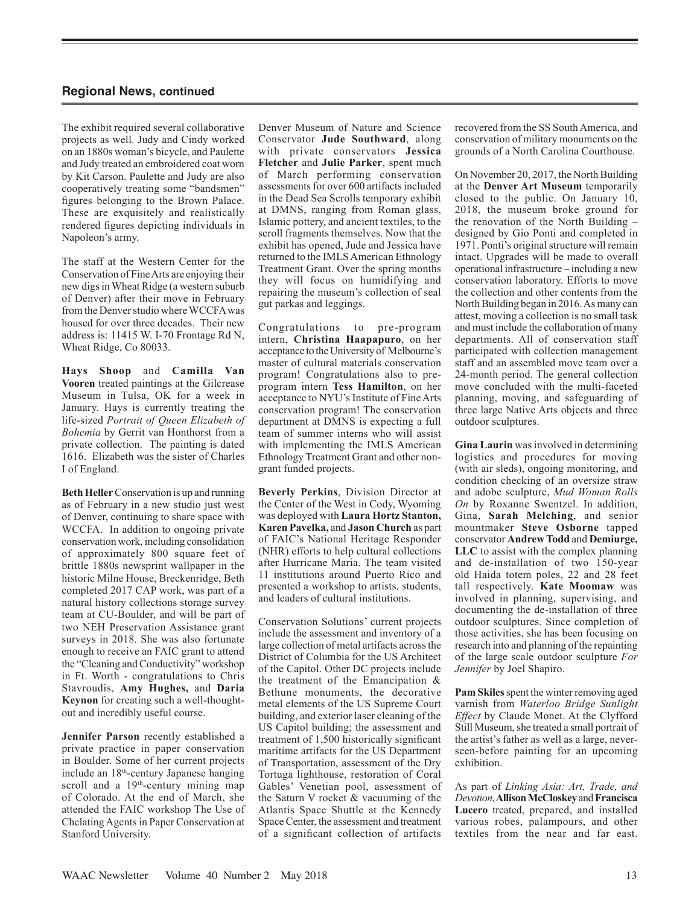The exhibit required several collaborative projects as well. Judy and Cindy worked on an 1880s woman's bicycle, and Paulette and Judy treated an embroidered coat worn by Kit Carson. Paulette and Judy are also cooperatively treating some "bandsmen" figures belonging to the Brown Palace. These are exquisitely and realistically rendered figures depicting individuals in Napoleon's army.

The staff at the Western Center for the Conservation of Fine Arts are enjoying their new digs in Wheat Ridge (a western suburb of Denver) after their move in February from the Denver studio where WCCFA was housed for over three decades. Their new address is: 11415 W. I-70 Frontage Rd N, Wheat Ridge, Co 80033.

**Hays Shoop** and **Camilla Van Vooren** treated paintings at the Gilcrease Museum in Tulsa, OK for a week in January. Hays is currently treating the life-sized *Portrait of Queen Elizabeth of Bohemia* by Gerrit van Honthorst from a private collection. The painting is dated 1616. Elizabeth was the sister of Charles I of England.

**Beth Heller** Conservation is up and running as of February in a new studio just west of Denver, continuing to share space with WCCFA. In addition to ongoing private conservation work, including consolidation of approximately 800 square feet of brittle 1880s newsprint wallpaper in the historic Milne House, Breckenridge, Beth completed 2017 CAP work, was part of a natural history collections storage survey team at CU-Boulder, and will be part of two NEH Preservation Assistance grant surveys in 2018. She was also fortunate enough to receive an FAIC grant to attend the "Cleaning and Conductivity" workshop in Ft. Worth - congratulations to Chris Stavroudis, **Amy Hughes,** and **Daria Keynon** for creating such a well-thoughtout and incredibly useful course.

**Jennifer Parson** recently established a private practice in paper conservation in Boulder. Some of her current projects include an 18th-century Japanese hanging scroll and a 19<sup>th</sup>-century mining map of Colorado. At the end of March, she attended the FAIC workshop The Use of Chelating Agents in Paper Conservation at Stanford University.

Denver Museum of Nature and Science Conservator **Jude Southward**, along with private conservators **Jessica Fletcher** and **Julie Parker**, spent much of March performing conservation assessments for over 600 artifacts included in the Dead Sea Scrolls temporary exhibit at DMNS, ranging from Roman glass, Islamic pottery, and ancient textiles, to the scroll fragments themselves. Now that the exhibit has opened, Jude and Jessica have returned to the IMLS American Ethnology Treatment Grant. Over the spring months they will focus on humidifying and repairing the museum's collection of seal gut parkas and leggings.

Congratulations to pre-program intern, **Christina Haapapuro**, on her acceptance to the University of Melbourne's master of cultural materials conservation program! Congratulations also to preprogram intern **Tess Hamilton**, on her acceptance to NYU's Institute of Fine Arts conservation program! The conservation department at DMNS is expecting a full team of summer interns who will assist with implementing the IMLS American Ethnology Treatment Grant and other nongrant funded projects.

**Beverly Perkins**, Division Director at the Center of the West in Cody, Wyoming was deployed with **Laura Hortz Stanton, Karen Pavelka,** and **Jason Church** as part of FAIC's National Heritage Responder (NHR) efforts to help cultural collections after Hurricane Maria. The team visited 11 institutions around Puerto Rico and presented a workshop to artists, students, and leaders of cultural institutions.

Conservation Solutions' current projects include the assessment and inventory of a large collection of metal artifacts across the District of Columbia for the US Architect of the Capitol. Other DC projects include the treatment of the Emancipation & Bethune monuments, the decorative metal elements of the US Supreme Court building, and exterior laser cleaning of the US Capitol building; the assessment and treatment of 1,500 historically significant maritime artifacts for the US Department of Transportation, assessment of the Dry Tortuga lighthouse, restoration of Coral Gables' Venetian pool, assessment of the Saturn V rocket & vacuuming of the Atlantis Space Shuttle at the Kennedy Space Center, the assessment and treatment of a significant collection of artifacts recovered from the SS South America, and conservation of military monuments on the grounds of a North Carolina Courthouse.

On November 20, 2017, the North Building at the **Denver Art Museum** temporarily closed to the public. On January 10, 2018, the museum broke ground for the renovation of the North Building – designed by Gio Ponti and completed in 1971. Ponti's original structure will remain intact. Upgrades will be made to overall operational infrastructure – including a new conservation laboratory. Efforts to move the collection and other contents from the North Building began in 2016. As many can attest, moving a collection is no small task and must include the collaboration of many departments. All of conservation staff participated with collection management staff and an assembled move team over a 24-month period. The general collection move concluded with the multi-faceted planning, moving, and safeguarding of three large Native Arts objects and three outdoor sculptures.

**Gina Laurin** was involved in determining logistics and procedures for moving (with air sleds), ongoing monitoring, and condition checking of an oversize straw and adobe sculpture, *Mud Woman Rolls On* by Roxanne Swentzel. In addition, Gina, **Sarah Melching**, and senior mountmaker **Steve Osborne** tapped conservator **Andrew Todd** and **Demiurge, LLC** to assist with the complex planning and de-installation of two 150-year old Haida totem poles, 22 and 28 feet tall respectively. **Kate Moomaw** was involved in planning, supervising, and documenting the de-installation of three outdoor sculptures. Since completion of those activities, she has been focusing on research into and planning of the repainting of the large scale outdoor sculpture *For Jennifer* by Joel Shapiro.

Pam Skiles spent the winter removing aged varnish from *Waterloo Bridge Sunlight Effect* by Claude Monet. At the Clyfford Still Museum, she treated a small portrait of the artist's father as well as a large, neverseen-before painting for an upcoming exhibition.

As part of *Linking Asia: Art, Trade, and Devotion*,**Allison McCloskey**and**Francisca Lucero** treated, prepared, and installed various robes, palampours, and other textiles from the near and far east.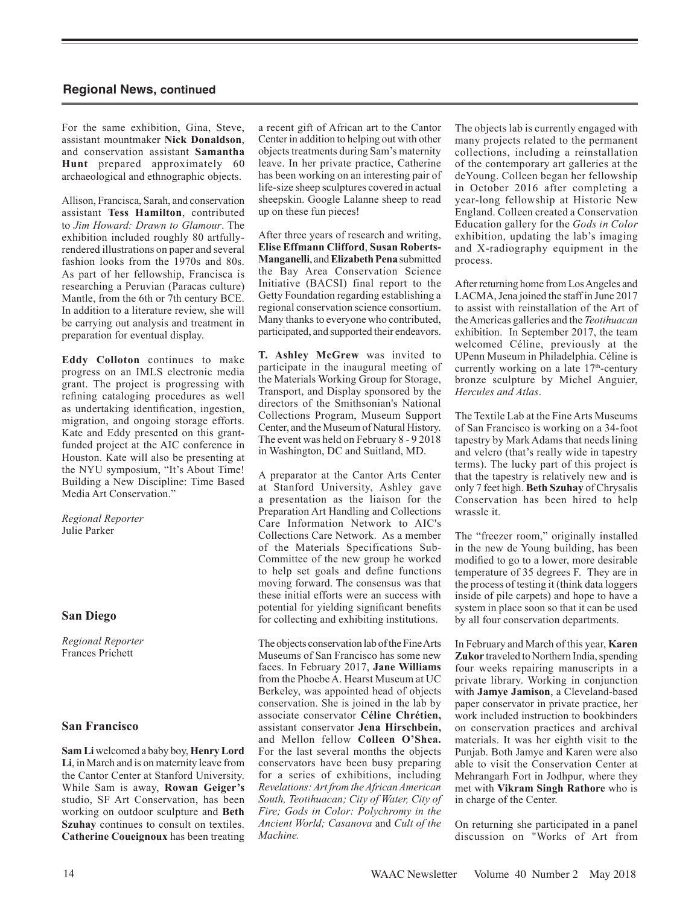For the same exhibition, Gina, Steve, assistant mountmaker **Nick Donaldson**, and conservation assistant **Samantha Hunt** prepared approximately 60 archaeological and ethnographic objects.

Allison, Francisca, Sarah, and conservation assistant **Tess Hamilton**, contributed to *Jim Howard: Drawn to Glamour*. The exhibition included roughly 80 artfullyrendered illustrations on paper and several fashion looks from the 1970s and 80s. As part of her fellowship, Francisca is researching a Peruvian (Paracas culture) Mantle, from the 6th or 7th century BCE. In addition to a literature review, she will be carrying out analysis and treatment in preparation for eventual display.

**Eddy Colloton** continues to make progress on an IMLS electronic media grant. The project is progressing with refining cataloging procedures as well as undertaking identification, ingestion, migration, and ongoing storage efforts. Kate and Eddy presented on this grantfunded project at the AIC conference in Houston. Kate will also be presenting at the NYU symposium, "It's About Time! Building a New Discipline: Time Based Media Art Conservation."

*Regional Reporter* Julie Parker

#### **San Diego**

*Regional Reporter* Frances Prichett

#### **San Francisco**

**Sam Li** welcomed a baby boy, **Henry Lord Li**, in March and is on maternity leave from the Cantor Center at Stanford University. While Sam is away, **Rowan Geiger's** studio, SF Art Conservation, has been working on outdoor sculpture and **Beth Szuhay** continues to consult on textiles. **Catherine Coueignoux** has been treating a recent gift of African art to the Cantor Center in addition to helping out with other objects treatments during Sam's maternity leave. In her private practice, Catherine has been working on an interesting pair of life-size sheep sculptures covered in actual sheepskin. Google Lalanne sheep to read up on these fun pieces!

After three years of research and writing, **Elise Effmann Clifford**, **Susan Roberts-Manganelli**, and **Elizabeth Pena** submitted the Bay Area Conservation Science Initiative (BACSI) final report to the Getty Foundation regarding establishing a regional conservation science consortium. Many thanks to everyone who contributed, participated, and supported their endeavors.

**T. Ashley McGrew** was invited to participate in the inaugural meeting of the Materials Working Group for Storage, Transport, and Display sponsored by the directors of the Smithsonian's National Collections Program, Museum Support Center, and the Museum of Natural History. The event was held on February 8 - 9 2018 in Washington, DC and Suitland, MD.

A preparator at the Cantor Arts Center at Stanford University, Ashley gave a presentation as the liaison for the Preparation Art Handling and Collections Care Information Network to AIC's Collections Care Network. As a member of the Materials Specifications Sub-Committee of the new group he worked to help set goals and define functions moving forward. The consensus was that these initial efforts were an success with potential for yielding significant benefits for collecting and exhibiting institutions.

The objects conservation lab of the Fine Arts Museums of San Francisco has some new faces. In February 2017, **Jane Williams** from the Phoebe A. Hearst Museum at UC Berkeley, was appointed head of objects conservation. She is joined in the lab by associate conservator **Céline Chrétien,**  assistant conservator **Jena Hirschbein,** and Mellon fellow **Colleen O'Shea.**  For the last several months the objects conservators have been busy preparing for a series of exhibitions, including *Revelations: Art from the African American South, Teotihuacan; City of Water, City of Fire; Gods in Color: Polychromy in the Ancient World; Casanova* and *Cult of the Machine.*

The objects lab is currently engaged with many projects related to the permanent collections, including a reinstallation of the contemporary art galleries at the deYoung. Colleen began her fellowship in October 2016 after completing a year-long fellowship at Historic New England. Colleen created a Conservation Education gallery for the *Gods in Color* exhibition, updating the lab's imaging and X-radiography equipment in the process.

After returning home from Los Angeles and LACMA, Jena joined the staff in June 2017 to assist with reinstallation of the Art of the Americas galleries and the *Teotihuacan*  exhibition. In September 2017, the team welcomed Céline, previously at the UPenn Museum in Philadelphia. Céline is currently working on a late 17<sup>th</sup>-century bronze sculpture by Michel Anguier, *Hercules and Atlas*.

The Textile Lab at the Fine Arts Museums of San Francisco is working on a 34-foot tapestry by Mark Adams that needs lining and velcro (that's really wide in tapestry terms). The lucky part of this project is that the tapestry is relatively new and is only 7 feet high. **Beth Szuhay** of Chrysalis Conservation has been hired to help wrassle it.

The "freezer room," originally installed in the new de Young building, has been modified to go to a lower, more desirable temperature of 35 degrees F. They are in the process of testing it (think data loggers inside of pile carpets) and hope to have a system in place soon so that it can be used by all four conservation departments.

In February and March of this year, **Karen Zukor** traveled to Northern India, spending four weeks repairing manuscripts in a private library. Working in conjunction with **Jamye Jamison**, a Cleveland-based paper conservator in private practice, her work included instruction to bookbinders on conservation practices and archival materials. It was her eighth visit to the Punjab. Both Jamye and Karen were also able to visit the Conservation Center at Mehrangarh Fort in Jodhpur, where they met with **Vikram Singh Rathore** who is in charge of the Center.

On returning she participated in a panel discussion on "Works of Art from